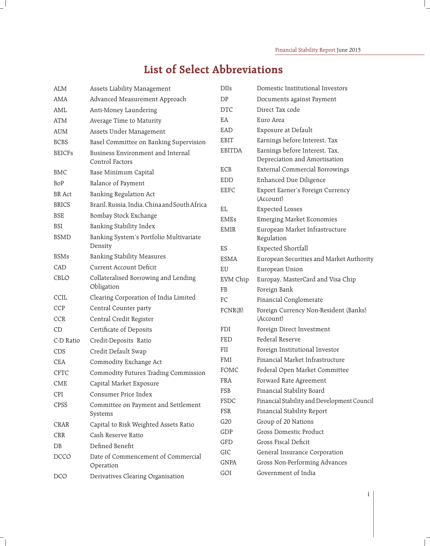## **List of Select Abbreviations**

| <b>ALM</b>    | Assets Liability Management                          | <b>DIIs</b>   | Domestic Institutional Investors                                |
|---------------|------------------------------------------------------|---------------|-----------------------------------------------------------------|
| AMA           | Advanced Measurement Approach                        | DP            | Documents against Payment                                       |
| AML           | Anti-Money Laundering                                | <b>DTC</b>    | Direct Tax code                                                 |
| ATM           | Average Time to Maturity                             | EA            | Euro Area                                                       |
| <b>AUM</b>    | Assets Under Management                              | EAD           | Exposure at Default                                             |
| <b>BCBS</b>   | Basel Committee on Banking Supervision               | EBIT          | Earnings before Interest, Tax                                   |
| <b>BEICFs</b> | Business Environment and Internal<br>Control Factors | <b>EBITDA</b> | Earnings before Interest, Tax,<br>Depreciation and Amortisation |
| BMC           | Base Minimum Capital                                 | ECB           | External Commercial Borrowings                                  |
| BoP           | <b>Balance of Payment</b>                            | <b>EDD</b>    | Enhanced Due Diligence                                          |
| <b>BR</b> Act | Banking Regulation Act                               | <b>EEFC</b>   | Export Earner's Foreign Currency                                |
| <b>BRICS</b>  | Brazil, Russia, India, China and South Africa        | EL            | (Account)                                                       |
| <b>BSE</b>    | Bombay Stock Exchange                                | <b>EMEs</b>   | <b>Expected Losses</b><br><b>Emerging Market Economies</b>      |
| <b>BSI</b>    | Banking Stability Index                              | <b>EMIR</b>   | European Market Infrastructure                                  |
| <b>BSMD</b>   | Banking System's Portfolio Multivariate              |               | Regulation                                                      |
|               | Density                                              | ES            | <b>Expected Shortfall</b>                                       |
| <b>BSMs</b>   | <b>Banking Stability Measures</b>                    | <b>ESMA</b>   | European Securities and Market Authority                        |
| CAD           | <b>Current Account Deficit</b>                       | EU            | European Union                                                  |
| CBLO          | Collateralised Borrowing and Lending                 | EVM Chip      | Europay, MasterCard and Visa Chip                               |
|               | Obligation                                           | <b>FB</b>     | Foreign Bank                                                    |
| CCIL          | Clearing Corporation of India Limited                | FC            | Financial Conglomerate                                          |
| <b>CCP</b>    | Central Counter party                                | FCNR(B)       | Foreign Currency Non-Resident (Banks)                           |
| <b>CCR</b>    | Central Credit Register                              |               | (Account)                                                       |
| CD            | Certificate of Deposits                              | FDI           | Foreign Direct Investment                                       |
| C-D Ratio     | Credit-Deposits Ratio                                | <b>FED</b>    | Federal Reserve                                                 |
| CDS           | Credit Default Swap                                  | FII           | Foreign Institutional Investor                                  |
| CEA           | Commodity Exchange Act                               | FMI           | Financial Market Infrastructure                                 |
| <b>CFTC</b>   | Commodity Futures Trading Commission                 | FOMC          | Federal Open Market Committee                                   |
| CME           | Capital Market Exposure                              | <b>FRA</b>    | Forward Rate Agreement                                          |
| CPI           | Consumer Price Index                                 | FSB           | Financial Stability Board                                       |
| CPSS          | Committee on Payment and Settlement                  | FSDC          | Financial Stability and Development Council                     |
|               | Systems                                              | FSR           | Financial Stability Report                                      |
| CRAR          | Capital to Risk Weighted Assets Ratio                | G20           | Group of 20 Nations                                             |
| CRR           | Cash Reserve Ratio                                   | GDP           | <b>Gross Domestic Product</b>                                   |
| DB            | Defined Benefit                                      | GFD           | Gross Fiscal Deficit                                            |
| DCCO          | Date of Commencement of Commercial<br>Operation      | GIC           | General Insurance Corporation                                   |
|               |                                                      | <b>GNPA</b>   | Gross Non-Performing Advances<br>Government of India            |
| DCO           | Derivatives Clearing Organisation                    | GOI           |                                                                 |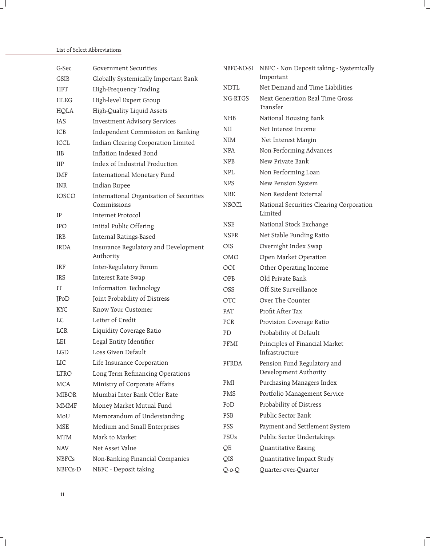## List of Select Abbreviations

| G-Sec        | <b>Government Securities</b>             | NBFC-ND-SI   | NBFC - Non Deposit taking - Systemically            |
|--------------|------------------------------------------|--------------|-----------------------------------------------------|
| GSIB         | Globally Systemically Important Bank     |              | Important                                           |
| <b>HFT</b>   | High-Frequency Trading                   | <b>NDTL</b>  | Net Demand and Time Liabilities                     |
| <b>HLEG</b>  | High-level Expert Group                  | NG-RTGS      | Next Generation Real Time Gross                     |
| HQLA         | High-Quality Liquid Assets               |              | Transfer                                            |
| IAS          | <b>Investment Advisory Services</b>      | <b>NHB</b>   | National Housing Bank                               |
| ICB          | Independent Commission on Banking        | NII          | Net Interest Income                                 |
| ICCL         | Indian Clearing Corporation Limited      | <b>NIM</b>   | Net Interest Margin                                 |
| <b>IIB</b>   | Inflation Indexed Bond                   | <b>NPA</b>   | Non-Performing Advances                             |
| <b>IIP</b>   | Index of Industrial Production           | <b>NPB</b>   | New Private Bank                                    |
| <b>IMF</b>   | International Monetary Fund              | <b>NPL</b>   | Non Performing Loan                                 |
| <b>INR</b>   | Indian Rupee                             | <b>NPS</b>   | New Pension System                                  |
| IOSCO        | International Organization of Securities | <b>NRE</b>   | Non Resident External                               |
| IP           | Commissions<br>Internet Protocol         | <b>NSCCL</b> | National Securities Clearing Corporation<br>Limited |
| <b>IPO</b>   | Initial Public Offering                  | <b>NSE</b>   | National Stock Exchange                             |
| IRB          | Internal Ratings-Based                   | <b>NSFR</b>  | Net Stable Funding Ratio                            |
| <b>IRDA</b>  | Insurance Regulatory and Development     | OIS          | Overnight Index Swap                                |
|              | Authority                                | OMO          | Open Market Operation                               |
| <b>IRF</b>   | Inter-Regulatory Forum                   | OOI          | Other Operating Income                              |
| IRS          | Interest Rate Swap                       | OPB          | Old Private Bank                                    |
| IT           | Information Technology                   | <b>OSS</b>   | Off-Site Surveillance                               |
| JPoD         | Joint Probability of Distress            | <b>OTC</b>   | Over The Counter                                    |
| <b>KYC</b>   | Know Your Customer                       | PAT          | Profit After Tax                                    |
| LC           | Letter of Credit                         | PCR          | Provision Coverage Ratio                            |
| <b>LCR</b>   | Liquidity Coverage Ratio                 | PD           | Probability of Default                              |
| LEI          | Legal Entity Identifier                  | PFMI         | Principles of Financial Market                      |
| <b>LGD</b>   | Loss Given Default                       |              | Infrastructure                                      |
| LIC          | Life Insurance Corporation               | PFRDA        | Pension Fund Regulatory and                         |
| <b>LTRO</b>  | Long Term Refinancing Operations         |              | Development Authority                               |
| MCA          | Ministry of Corporate Affairs            | PMI          | Purchasing Managers Index                           |
| <b>MIBOR</b> | Mumbai Inter Bank Offer Rate             | PMS          | Portfolio Management Service                        |
| <b>MMMF</b>  | Money Market Mutual Fund                 | PoD          | Probability of Distress                             |
| MoU          | Memorandum of Understanding              | PSB          | Public Sector Bank                                  |
| <b>MSE</b>   | Medium and Small Enterprises             | PSS          | Payment and Settlement System                       |
| <b>MTM</b>   | Mark to Market                           | PSUs         | Public Sector Undertakings                          |
| <b>NAV</b>   | Net Asset Value                          | QE           | Quantitative Easing                                 |
| <b>NBFCs</b> | Non-Banking Financial Companies          | QIS          | Quantitative Impact Study                           |
| NBFCs-D      | NBFC - Deposit taking                    | Q-o-Q        | Quarter-over-Quarter                                |